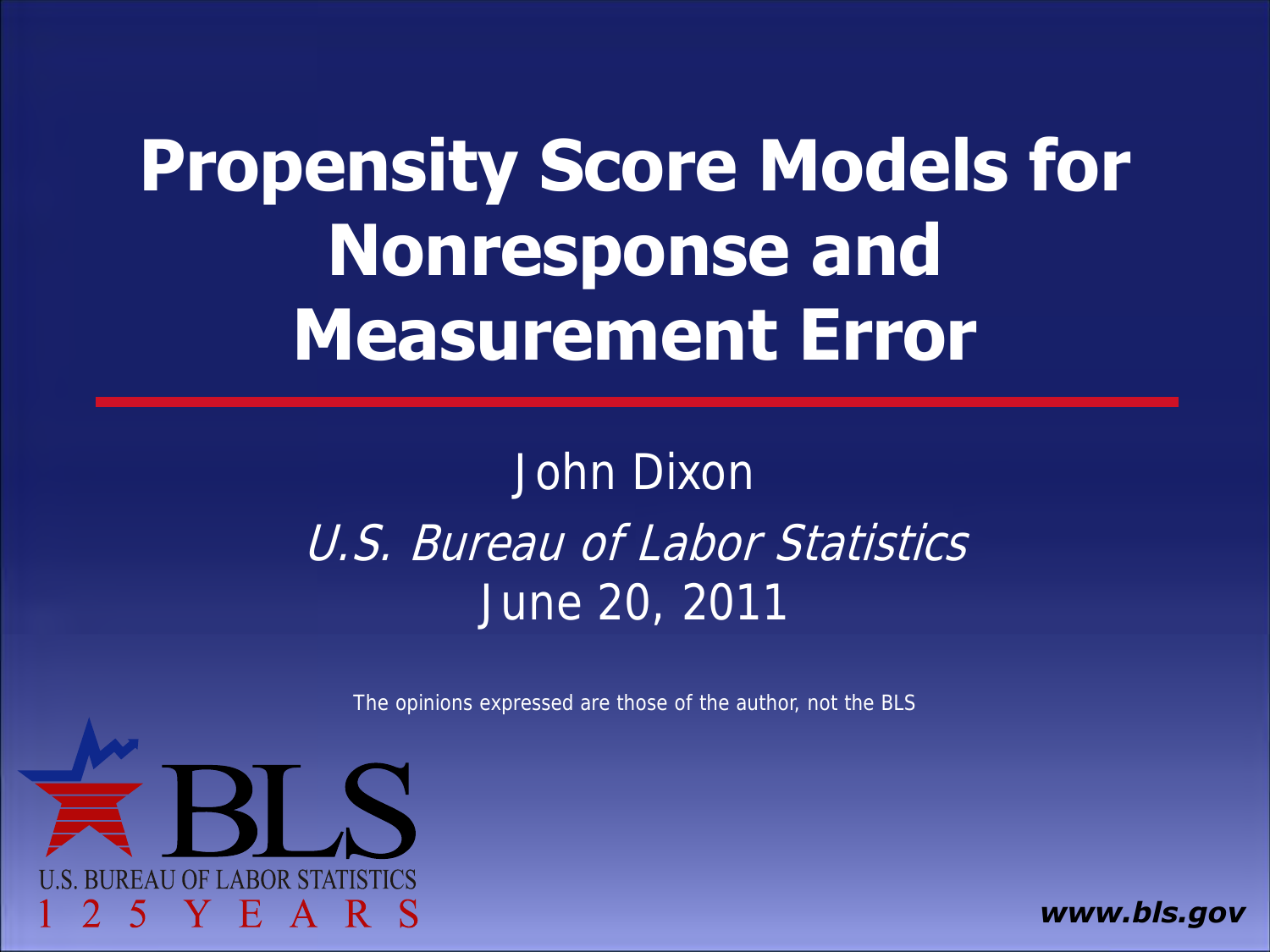## **Propensity Score Models for Nonresponse and Measurement Error**

### John Dixon U.S. Bureau of Labor Statistics June 20, 2011

The opinions expressed are those of the author, not the BLS



*www.bls.gov*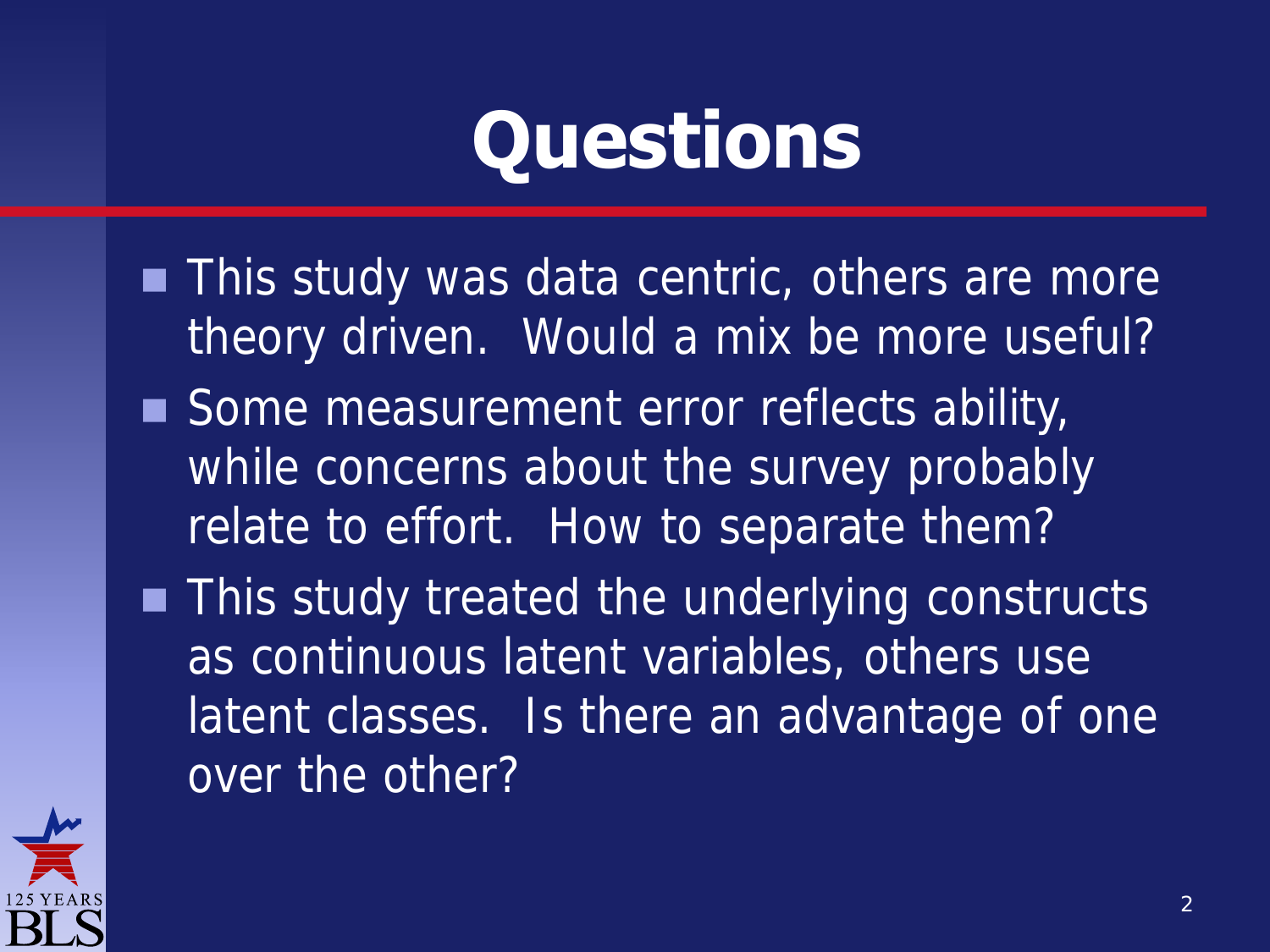# **Questions**

- **This study was data centric, others are more** theory driven. Would a mix be more useful?
- Some measurement error reflects ability, while concerns about the survey probably relate to effort. How to separate them?
- **This study treated the underlying constructs** as continuous latent variables, others use latent classes. Is there an advantage of one over the other?

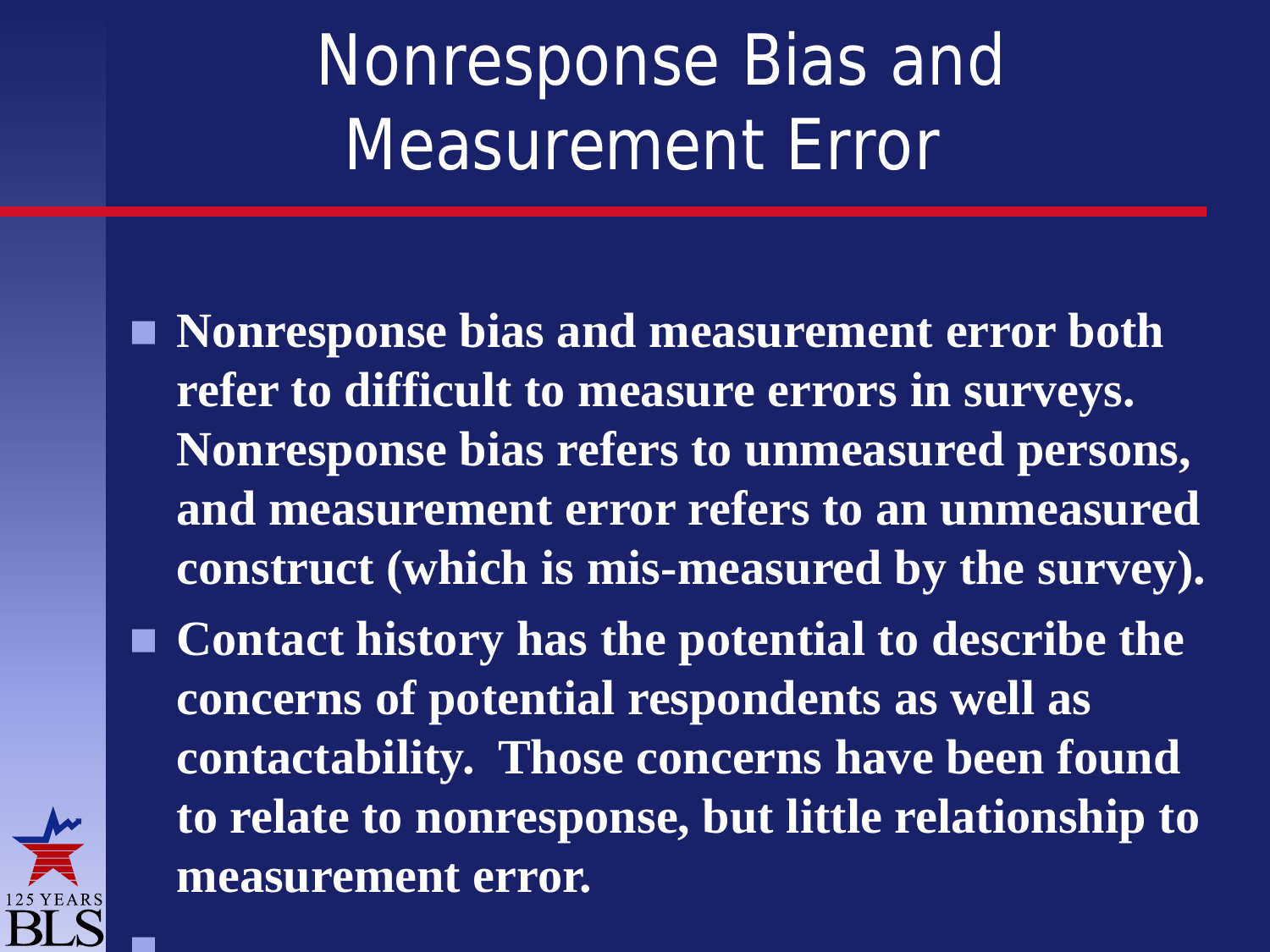## Nonresponse Bias and Measurement Error

- **Nonresponse bias and measurement error both refer to difficult to measure errors in surveys. Nonresponse bias refers to unmeasured persons, and measurement error refers to an unmeasured construct (which is mis-measured by the survey).**
- **Contact history has the potential to describe the concerns of potential respondents as well as contactability. Those concerns have been found to relate to nonresponse, but little relationship to measurement error.**



 $\blacksquare$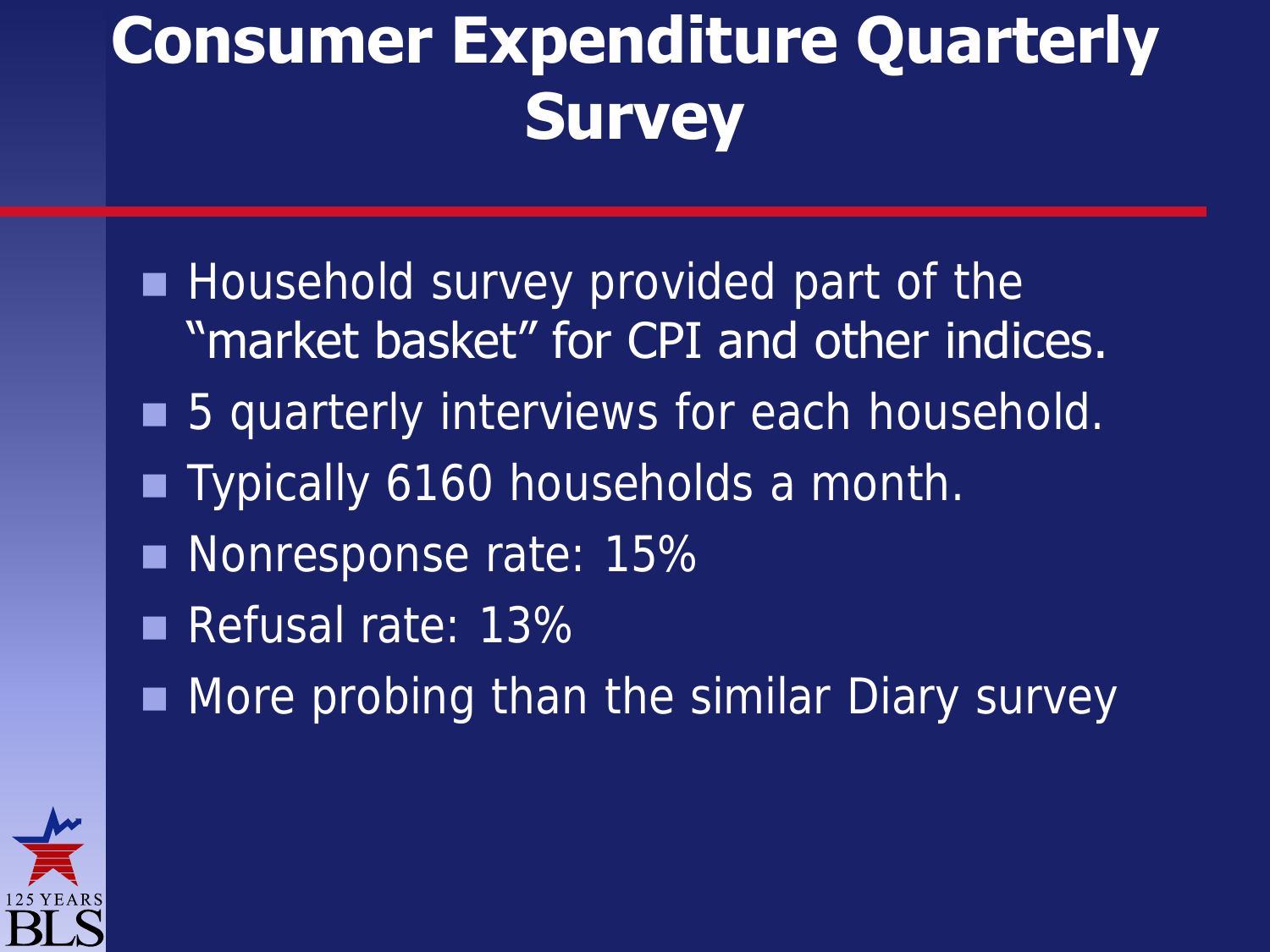## **Consumer Expenditure Quarterly Survey**

**Household survey provided part of the** "market basket" for CPI and other indices. ■ 5 quarterly interviews for each household. **Typically 6160 households a month.** Nonresponse rate: 15% Refusal rate: 13% More probing than the similar Diary survey

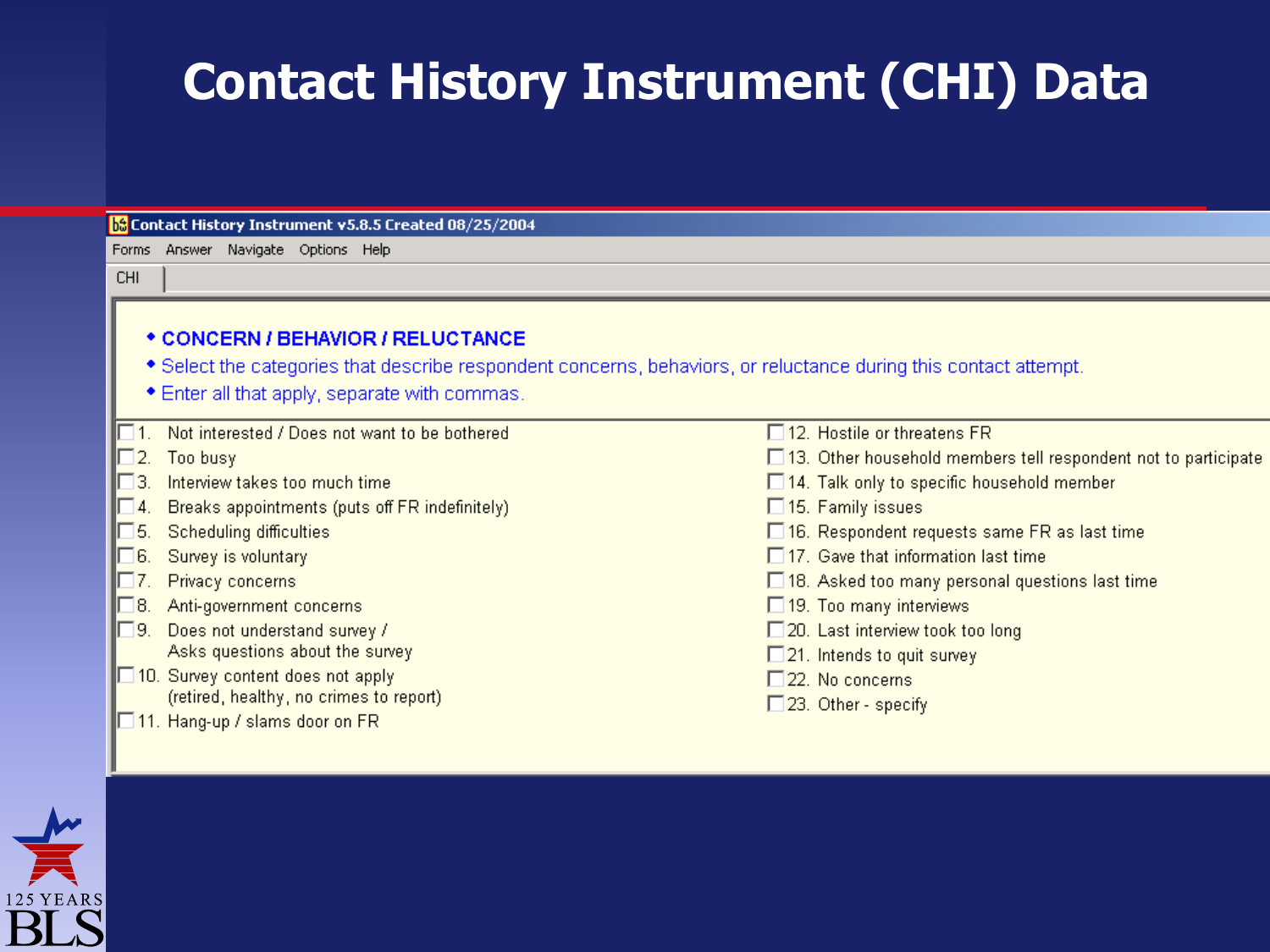### **Contact History Instrument (CHI) Data**

#### **b**<sup>3</sup> Contact History Instrument v5.8.5 Created 08/25/2004

Forms Answer Navigate Options Help

#### **CHI**

#### \* CONCERN / BEHAVIOR / RELUCTANCE

- \* Select the categories that describe respondent concerns, behaviors, or reluctance during this contact attempt.
- Enter all that apply, separate with commas.

|  | 1. Not interested / Does not want to be bothered         | $\Box$ 12. Hostile or threatens FR.                                   |
|--|----------------------------------------------------------|-----------------------------------------------------------------------|
|  | $\Box$ 2. Too busy                                       | $\Box$ 13. Other household members tell respondent not to participate |
|  | $\Box$ 3. Interview takes too much time                  | $\Box$ 14. Talk only to specific household member                     |
|  | $\Box$ 4. Breaks appointments (puts off FR indefinitely) | □ 15. Family issues                                                   |
|  | $\blacksquare$ 5. Scheduling difficulties                | $\Box$ 16. Respondent requests same FR as last time                   |
|  | $\Box 6.$ Survey is voluntary                            | $\Box$ 17. Gave that information last time                            |
|  | 7. Privacy concerns                                      | $\Box$ 18. Asked too many personal questions last time                |
|  | $\mathbb{H}$ 8. Anti-government concerns                 | $\Box$ 19. Too many interviews                                        |
|  | $\Box$ 9. Does not understand survey /                   | $\Box$ 20. Last interview took too long                               |
|  | Asks questions about the survey                          | $\Box$ 21. Intends to quit survey                                     |
|  | $\blacksquare$ 10. Survey content does not apply         | 22. No concerns                                                       |
|  | (retired, healthy, no crimes to report)                  | $\Box$ 23. Other - specify                                            |
|  | $\blacksquare$ 11. Hang-up / slams door on FR            |                                                                       |

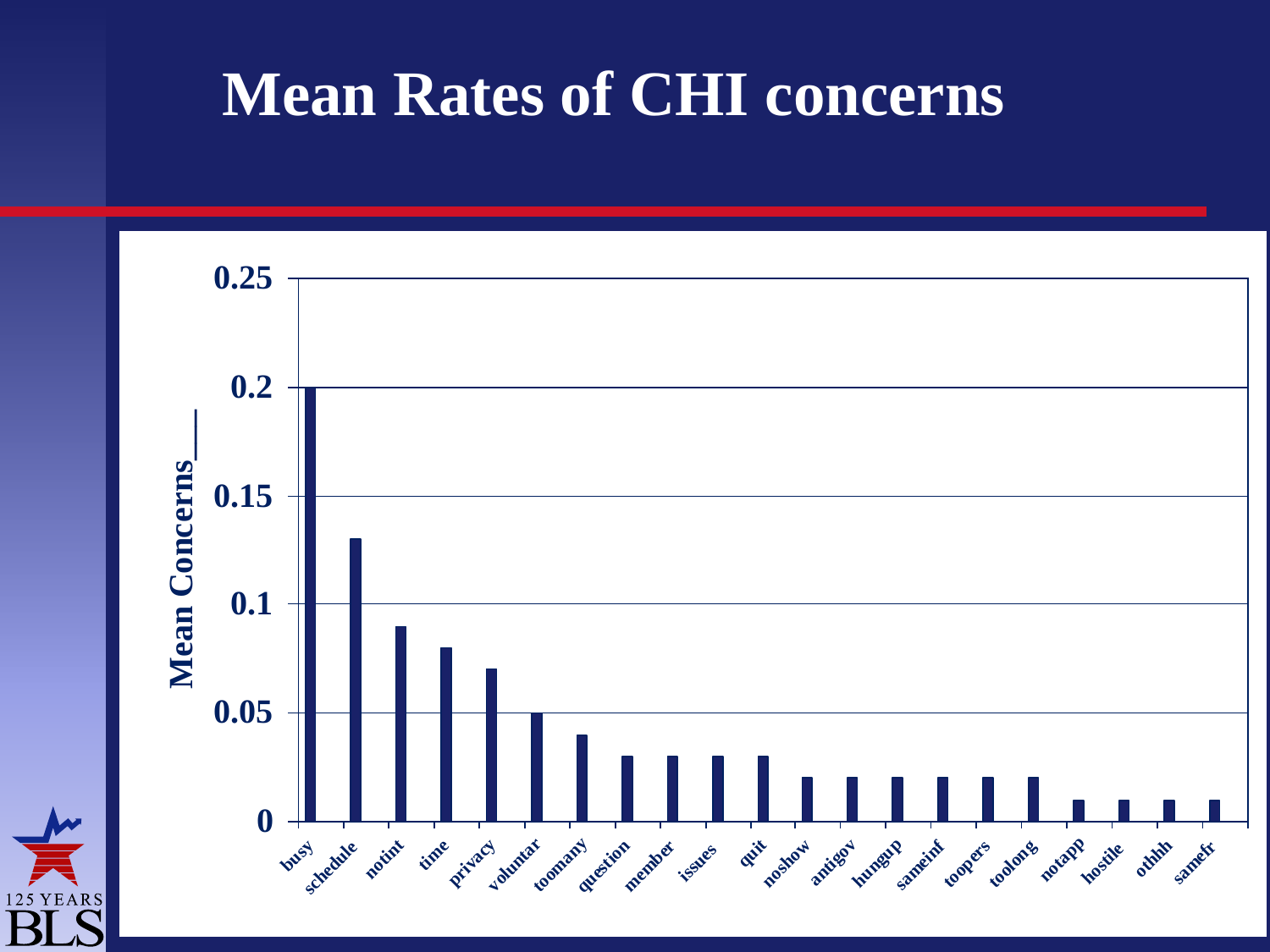## **Mean Rates of CHI concerns**

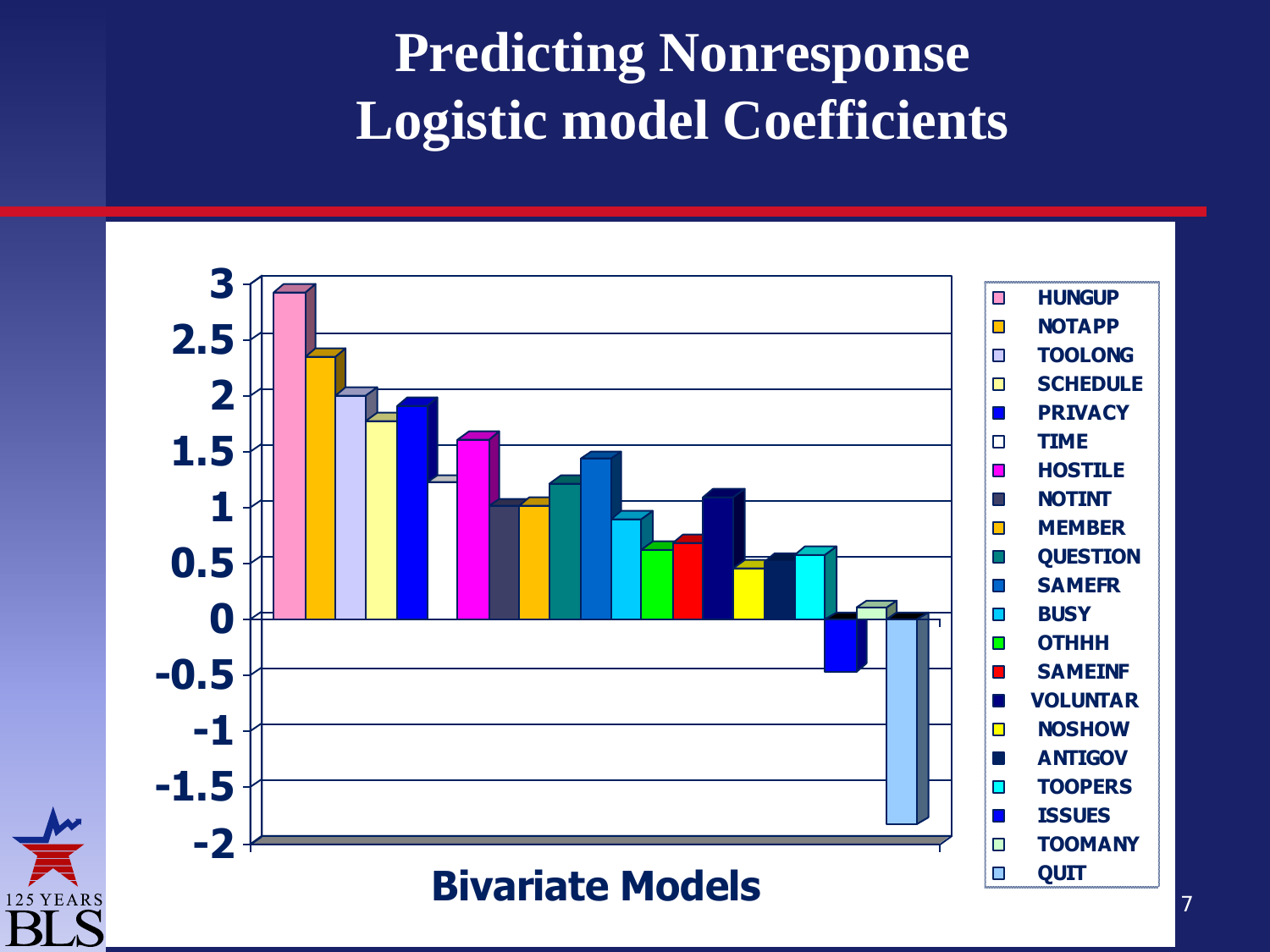## **Predicting Nonresponse Logistic model Coefficients**



**125 YEARS**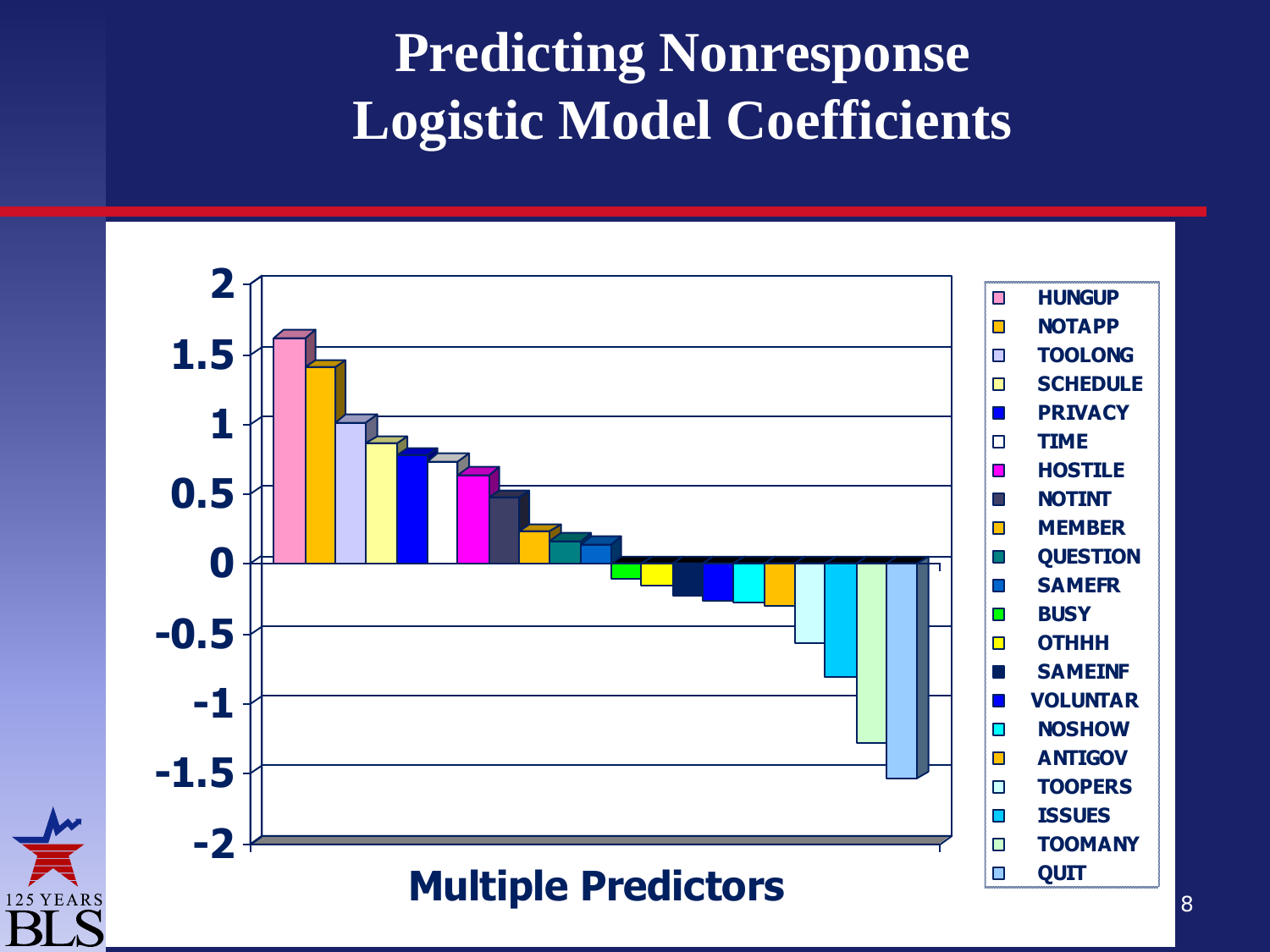## **Predicting Nonresponse Logistic Model Coefficients**



125 YEARS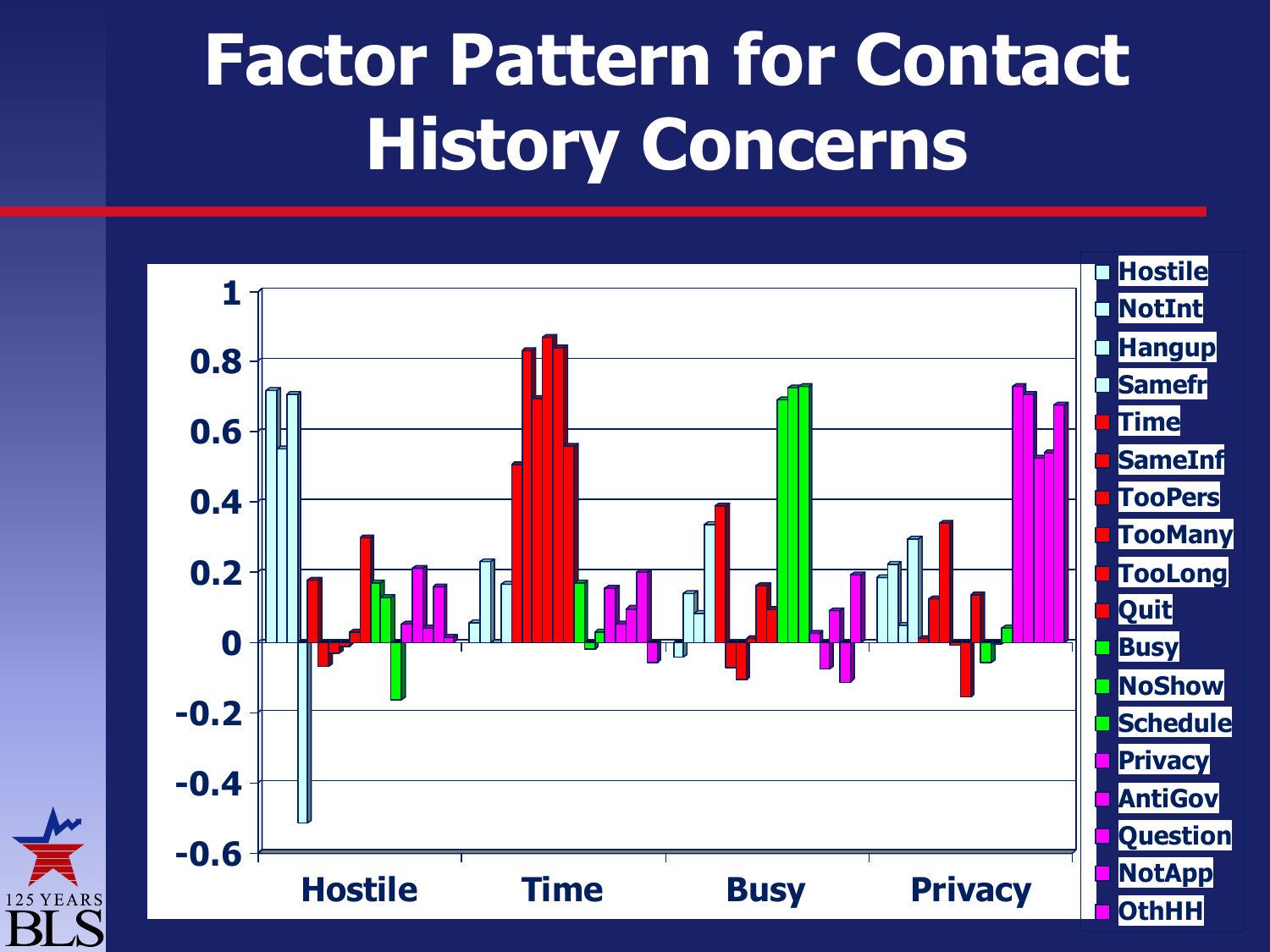## **Factor Pattern for Contact History Concerns**

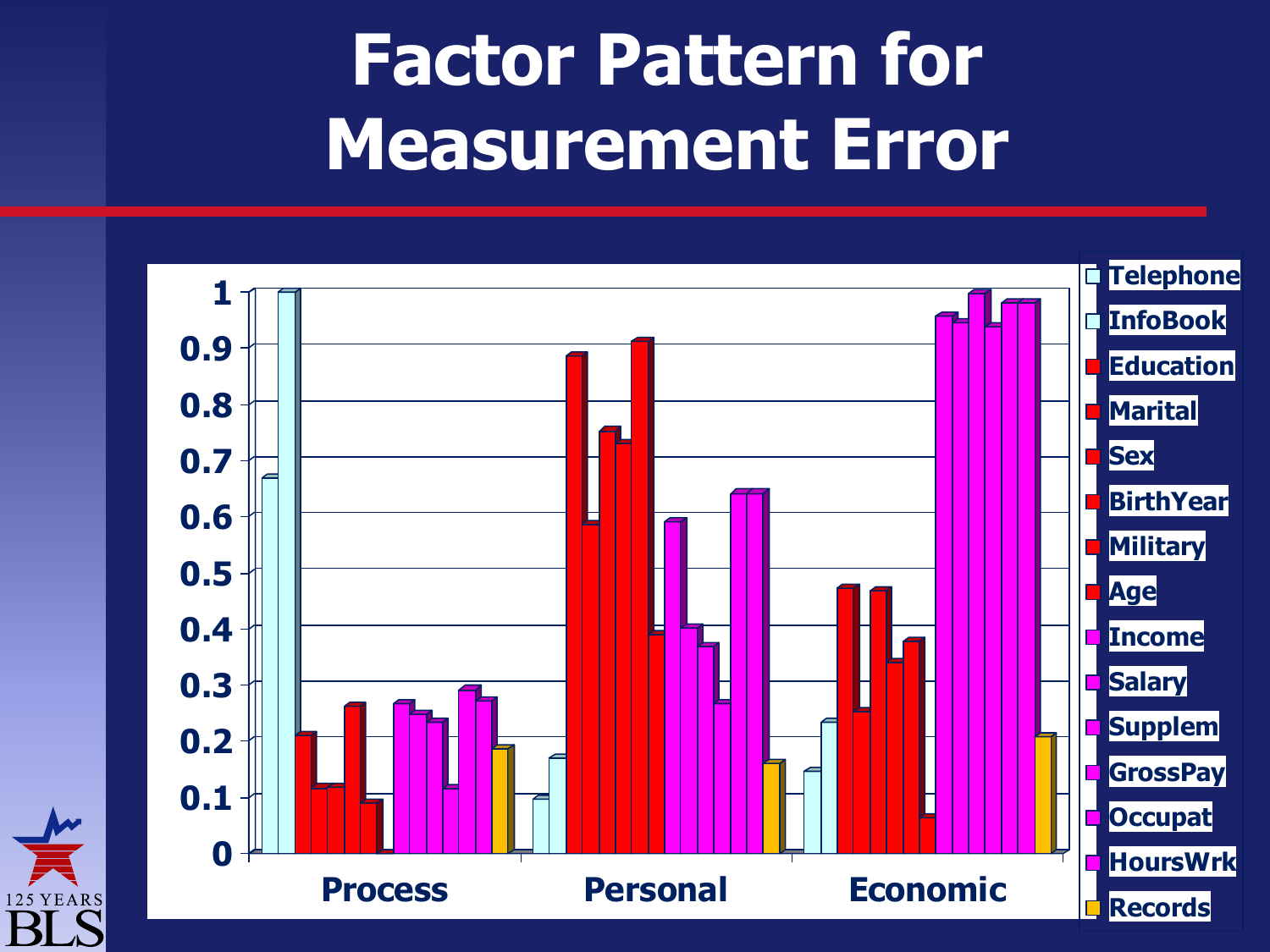## **Factor Pattern for Measurement Error**

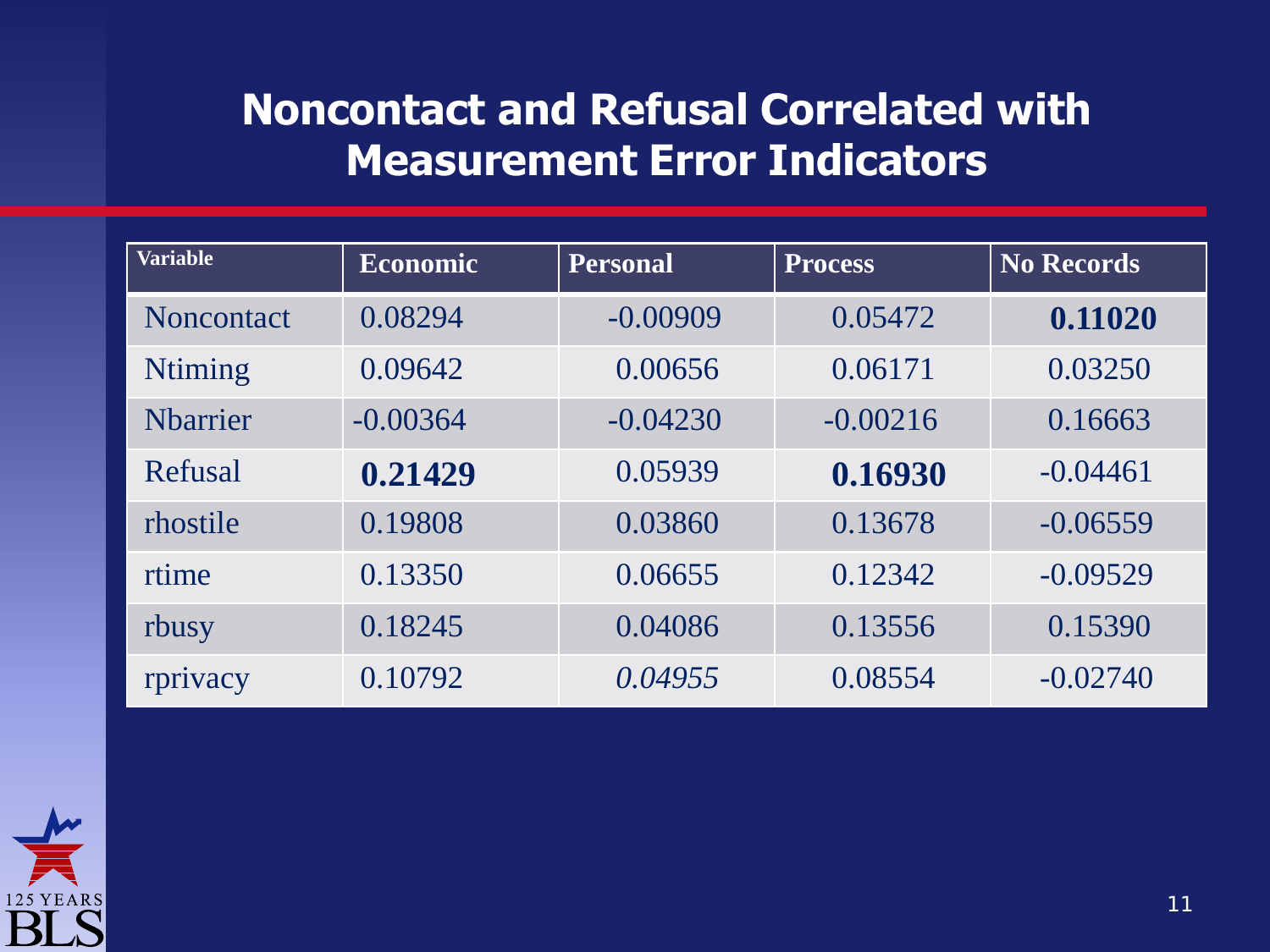#### **Noncontact and Refusal Correlated with Measurement Error Indicators**

| <b>Variable</b>   | <b>Economic</b> | <b>Personal</b> | <b>Process</b> | <b>No Records</b> |
|-------------------|-----------------|-----------------|----------------|-------------------|
| <b>Noncontact</b> | 0.08294         | $-0.00909$      | 0.05472        | 0.11020           |
| <b>Ntiming</b>    | 0.09642         | 0.00656         | 0.06171        | 0.03250           |
| <b>Nharrier</b>   | $-0.00364$      | $-0.04230$      | $-0.00216$     | 0.16663           |
| Refusal           | 0.21429         | 0.05939         | 0.16930        | $-0.04461$        |
| rhostile          | 0.19808         | 0.03860         | 0.13678        | $-0.06559$        |
| rtime             | 0.13350         | 0.06655         | 0.12342        | $-0.09529$        |
| rbusy             | 0.18245         | 0.04086         | 0.13556        | 0.15390           |
| rprivacy          | 0.10792         | 0.04955         | 0.08554        | $-0.02740$        |

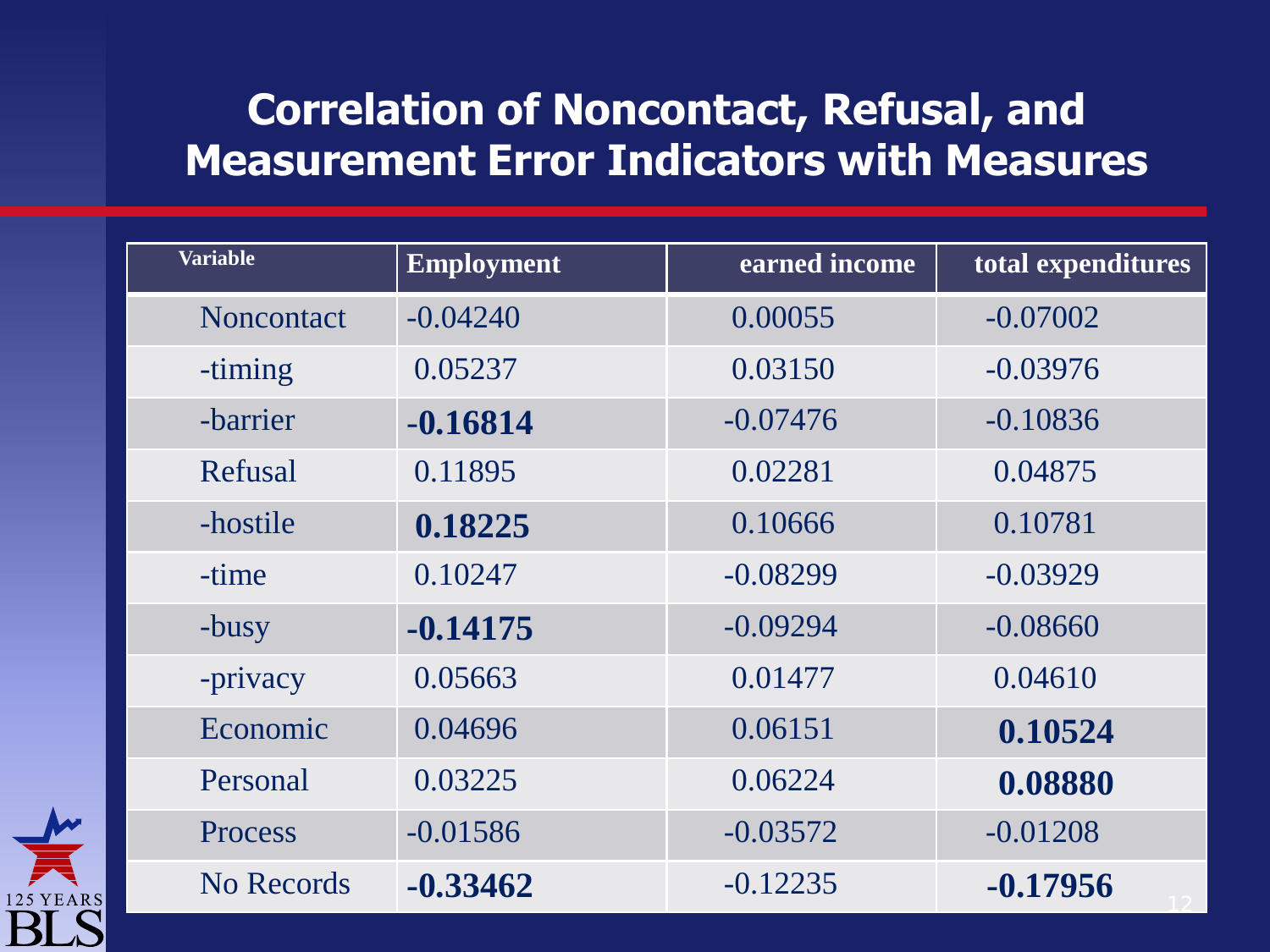#### **Correlation of Noncontact, Refusal, and Measurement Error Indicators with Measures**

| <b>Variable</b>   | <b>Employment</b> | earned income | total expenditures |
|-------------------|-------------------|---------------|--------------------|
| <b>Noncontact</b> | $-0.04240$        | 0.00055       | $-0.07002$         |
| -timing           | 0.05237           | 0.03150       | $-0.03976$         |
| -barrier          | $-0.16814$        | $-0.07476$    | $-0.10836$         |
| Refusal           | 0.11895           | 0.02281       | 0.04875            |
| -hostile          | 0.18225           | 0.10666       | 0.10781            |
| -time             | 0.10247           | $-0.08299$    | $-0.03929$         |
| -busy             | $-0.14175$        | $-0.09294$    | $-0.08660$         |
| -privacy          | 0.05663           | 0.01477       | 0.04610            |
| Economic          | 0.04696           | 0.06151       | 0.10524            |
| Personal          | 0.03225           | 0.06224       | 0.08880            |
| Process           | $-0.01586$        | $-0.03572$    | $-0.01208$         |
| No Records        | $-0.33462$        | $-0.12235$    | $-0.17956$         |

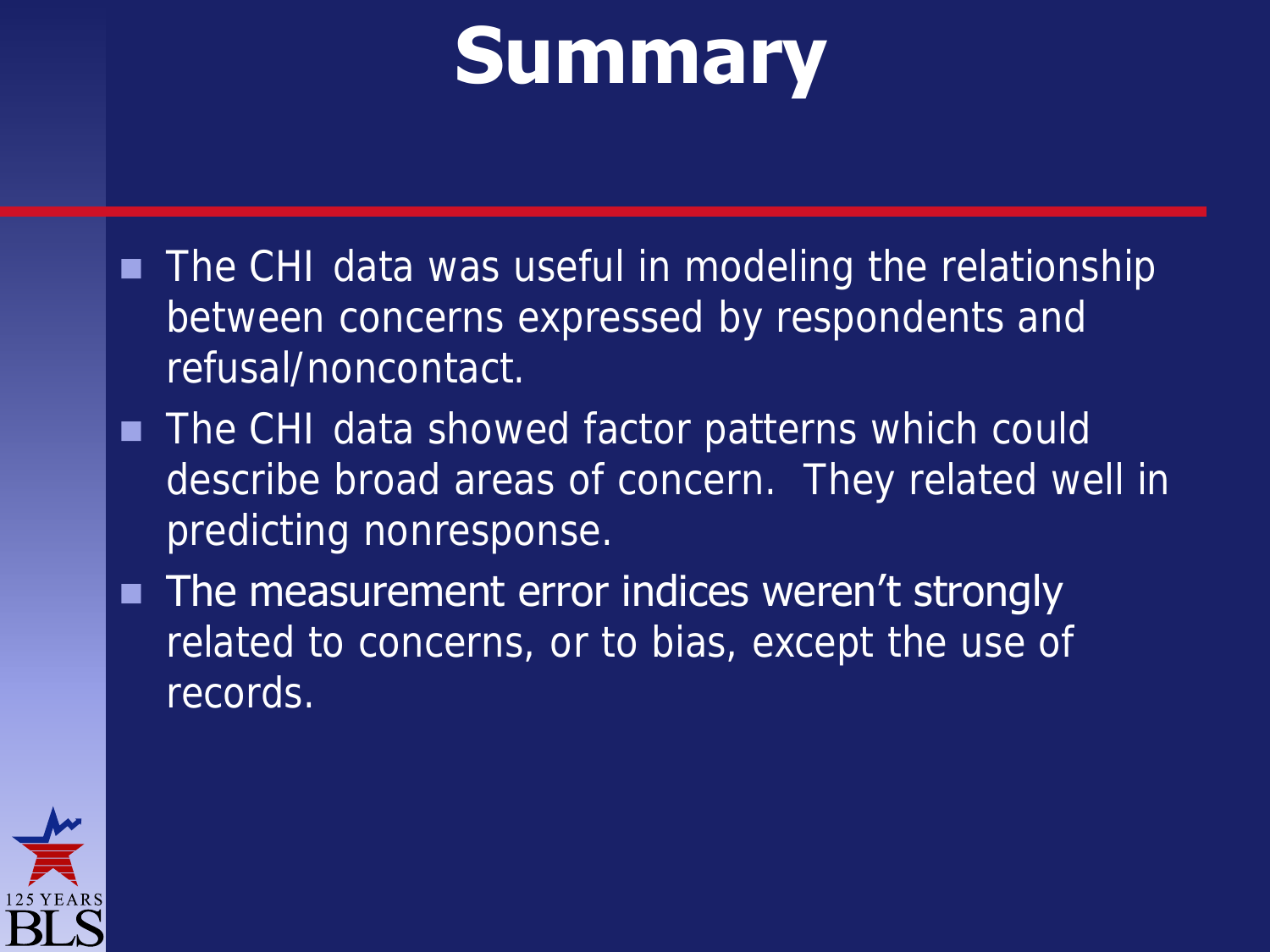## **Summary**

- **The CHI data was useful in modeling the relationship** between concerns expressed by respondents and refusal/noncontact.
- The CHI data showed factor patterns which could describe broad areas of concern. They related well in predicting nonresponse.
- The measurement error indices weren't strongly related to concerns, or to bias, except the use of records.

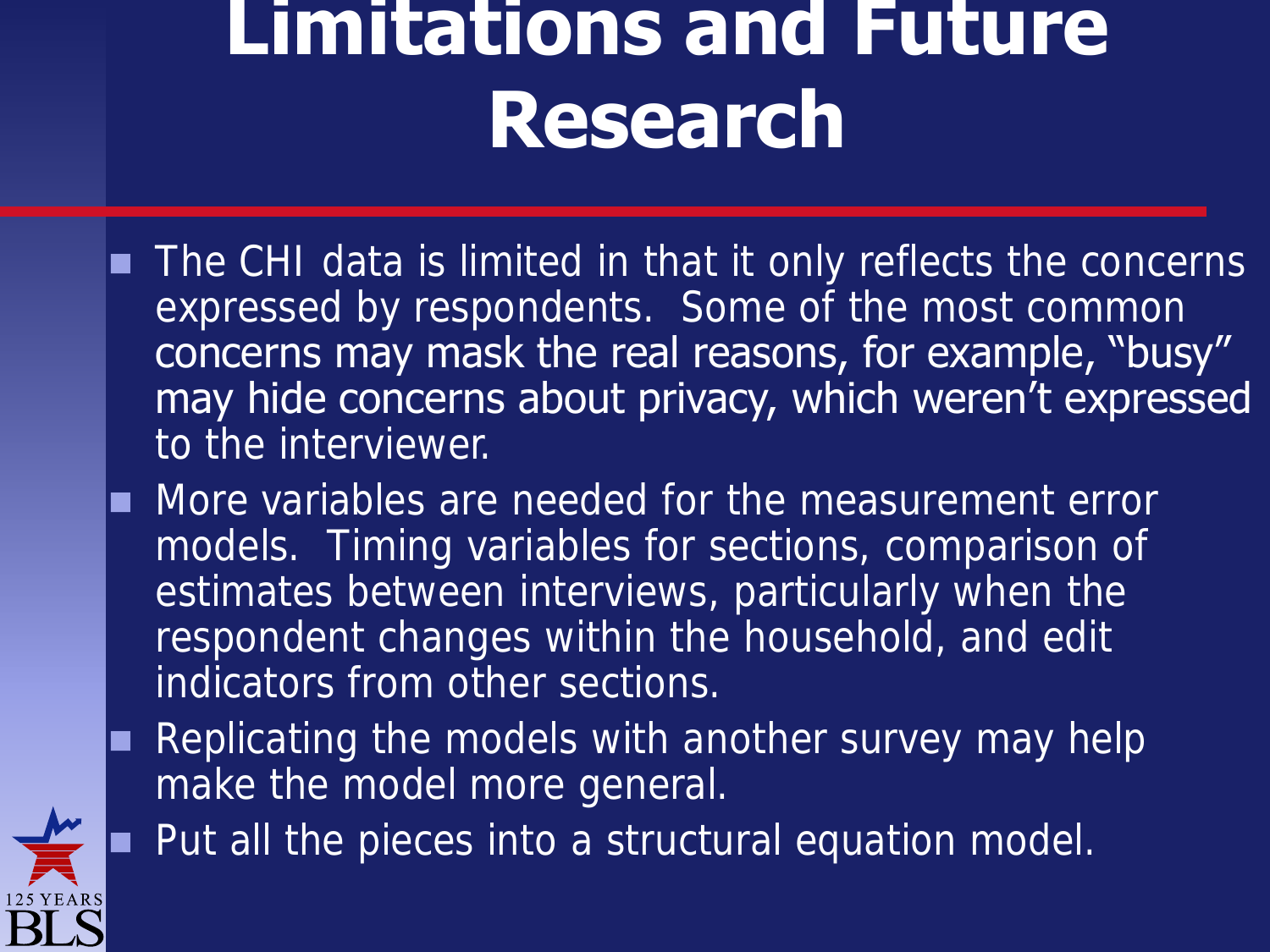## **Limitations and Future Research**

- The CHI data is limited in that it only reflects the concerns expressed by respondents. Some of the most common concerns may mask the real reasons, for example, "busy" may hide concerns about privacy, which weren't expressed to the interviewer.
- More variables are needed for the measurement error models. Timing variables for sections, comparison of estimates between interviews, particularly when the respondent changes within the household, and edit indicators from other sections.
- Replicating the models with another survey may help make the model more general.

Put all the pieces into a structural equation model.

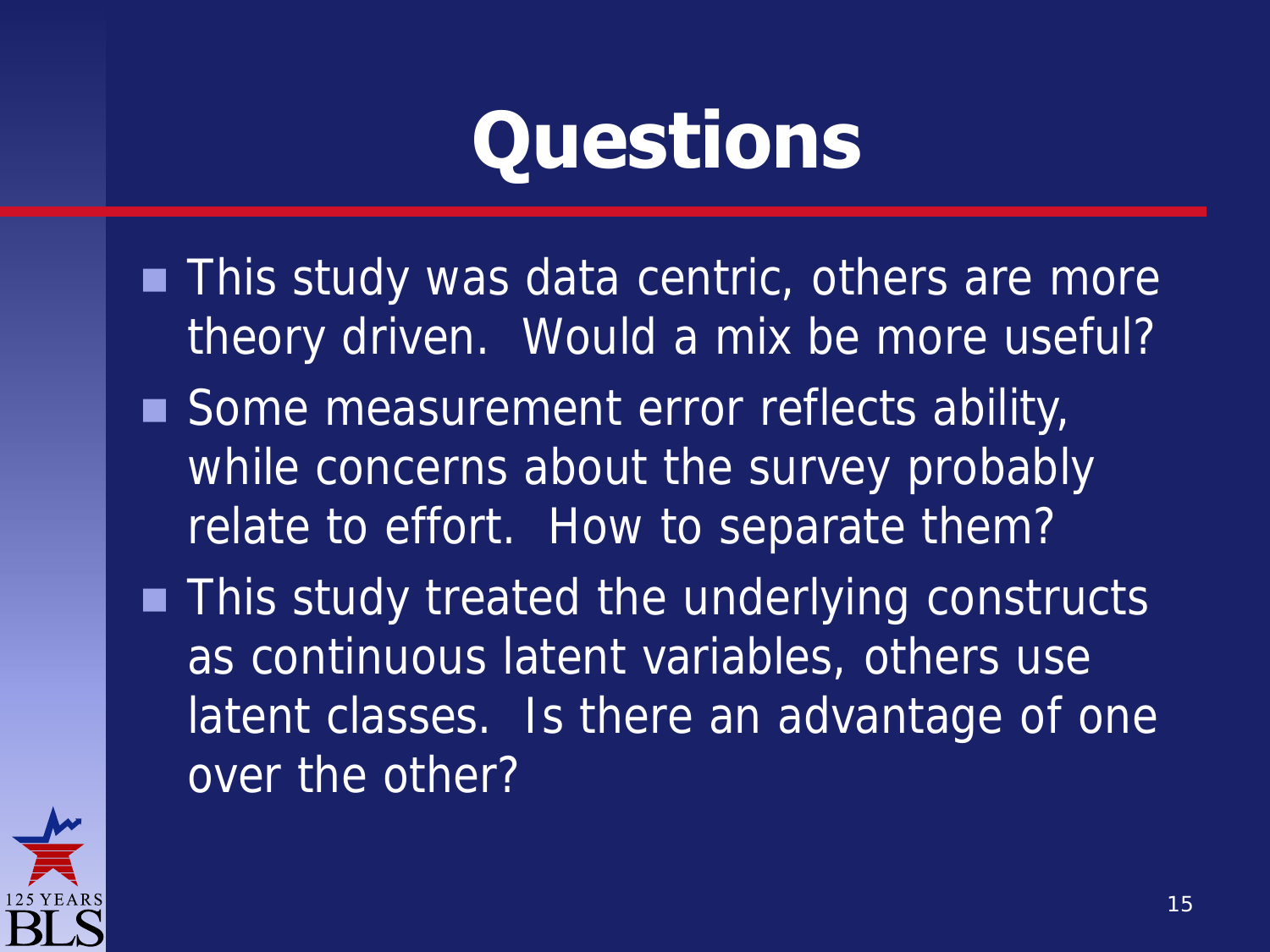# **Questions**

- **This study was data centric, others are more** theory driven. Would a mix be more useful?
- Some measurement error reflects ability, while concerns about the survey probably relate to effort. How to separate them?
- **This study treated the underlying constructs** as continuous latent variables, others use latent classes. Is there an advantage of one over the other?